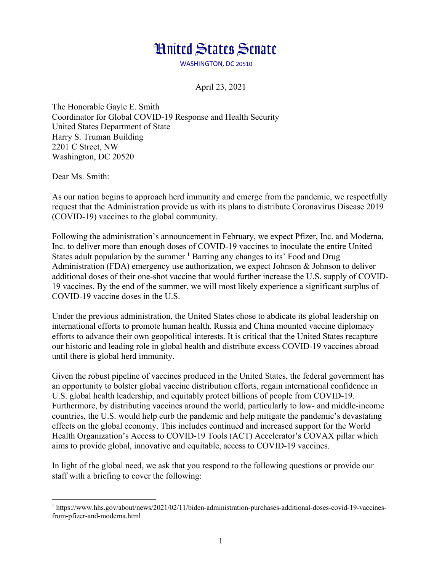## **Hnited States Senate**

WASHINGTON, DC 20510

April 23, 2021

The Honorable Gayle E. Smith Coordinator for Global COVID-19 Response and Health Security United States Department of State Harry S. Truman Building 2201 C Street, NW Washington, DC 20520

Dear Ms. Smith:

As our nation begins to approach herd immunity and emerge from the pandemic, we respectfully request that the Administration provide us with its plans to distribute Coronavirus Disease 2019 (COVID-19) vaccines to the global community.

Following the administration's announcement in February, we expect Pfizer, Inc. and Moderna, Inc. to deliver more than enough doses of COVID-19 vaccines to inoculate the entire United States adult population by the summer.<sup>1</sup> Barring any changes to its' Food and Drug Administration (FDA) emergency use authorization, we expect Johnson & Johnson to deliver additional doses of their one-shot vaccine that would further increase the U.S. supply of COVID-19 vaccines. By the end of the summer, we will most likely experience a significant surplus of COVID-19 vaccine doses in the U.S.

Under the previous administration, the United States chose to abdicate its global leadership on international efforts to promote human health. Russia and China mounted vaccine diplomacy efforts to advance their own geopolitical interests. It is critical that the United States recapture our historic and leading role in global health and distribute excess COVID-19 vaccines abroad until there is global herd immunity.

Given the robust pipeline of vaccines produced in the United States, the federal government has an opportunity to bolster global vaccine distribution efforts, regain international confidence in U.S. global health leadership, and equitably protect billions of people from COVID-19. Furthermore, by distributing vaccines around the world, particularly to low- and middle-income countries, the U.S. would help curb the pandemic and help mitigate the pandemic's devastating effects on the global economy. This includes continued and increased support for the World Health Organization's Access to COVID-19 Tools (ACT) Accelerator's COVAX pillar which aims to provide global, innovative and equitable, access to COVID-19 vaccines.

In light of the global need, we ask that you respond to the following questions or provide our staff with a briefing to cover the following:

<sup>1</sup> https://www.hhs.gov/about/news/2021/02/11/biden-administration-purchases-additional-doses-covid-19-vaccinesfrom-pfizer-and-moderna.html